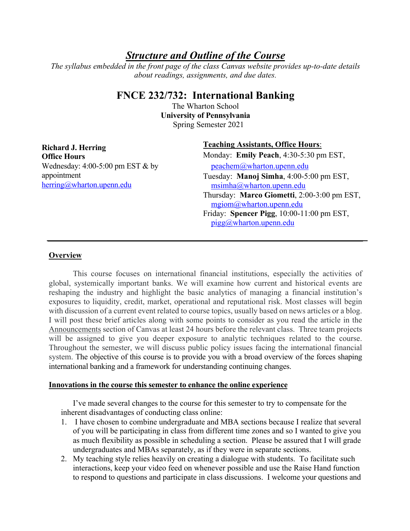# *Structure and Outline of the Course*

*The syllabus embedded in the front page of the class Canvas website provides up-to-date details about readings, assignments, and due dates.*

## **FNCE 232/732: International Banking**

Spring Semester 2021 The Wharton School **University of Pennsylvania**

**Richard J. Herring Office Hours** Wednesday: 4:00-5:00 pm EST & by appointment herring@wharton.upenn.edu

## **Teaching Assistants, Office Hours**:

Monday: **Emily Peach**, 4:30-5:30 pm EST, peachem@wharton.upenn.edu Tuesday: **Manoj Simha**, 4:00-5:00 pm EST, msimha@wharton.upenn.edu Thursday: **Marco Giometti**, 2:00-3:00 pm EST, mgiom@wharton.upenn.edu Friday: **Spencer Pigg**, 10:00-11:00 pm EST, pigg@wharton.upenn.edu

## **Overview**

This course focuses on international financial institutions, especially the activities of global, systemically important banks. We will examine how current and historical events are reshaping the industry and highlight the basic analytics of managing a financial institution's exposures to liquidity, credit, market, operational and reputational risk. Most classes will begin with discussion of a current event related to course topics, usually based on news articles or a blog. I will post these brief articles along with some points to consider as you read the article in the Announcements section of Canvas at least 24 hours before the relevant class. Three team projects will be assigned to give you deeper exposure to analytic techniques related to the course. Throughout the semester, we will discuss public policy issues facing the international financial system. The objective of this course is to provide you with a broad overview of the forces shaping international banking and a framework for understanding continuing changes.

## **Innovations in the course this semester to enhance the online experience**

I've made several changes to the course for this semester to try to compensate for the inherent disadvantages of conducting class online:

- 1. I have chosen to combine undergraduate and MBA sections because I realize that several of you will be participating in class from different time zones and so I wanted to give you as much flexibility as possible in scheduling a section. Please be assured that I will grade undergraduates and MBAs separately, as if they were in separate sections.
- 2. My teaching style relies heavily on creating a dialogue with students. To facilitate such interactions, keep your video feed on whenever possible and use the Raise Hand function to respond to questions and participate in class discussions. I welcome your questions and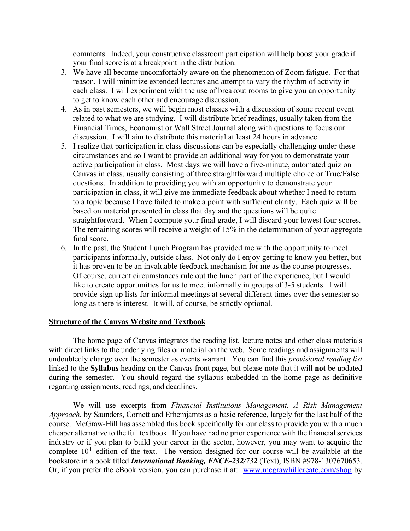comments. Indeed, your constructive classroom participation will help boost your grade if your final score is at a breakpoint in the distribution.

- 3. We have all become uncomfortably aware on the phenomenon of Zoom fatigue. For that reason, I will minimize extended lectures and attempt to vary the rhythm of activity in each class. I will experiment with the use of breakout rooms to give you an opportunity to get to know each other and encourage discussion.
- 4. As in past semesters, we will begin most classes with a discussion of some recent event related to what we are studying. I will distribute brief readings, usually taken from the Financial Times, Economist or Wall Street Journal along with questions to focus our discussion. I will aim to distribute this material at least 24 hours in advance.
- 5. I realize that participation in class discussions can be especially challenging under these circumstances and so I want to provide an additional way for you to demonstrate your active participation in class. Most days we will have a five-minute, automated quiz on Canvas in class, usually consisting of three straightforward multiple choice or True/False questions. In addition to providing you with an opportunity to demonstrate your participation in class, it will give me immediate feedback about whether I need to return to a topic because I have failed to make a point with sufficient clarity. Each quiz will be based on material presented in class that day and the questions will be quite straightforward. When I compute your final grade, I will discard your lowest four scores. The remaining scores will receive a weight of 15% in the determination of your aggregate final score.
- 6. In the past, the Student Lunch Program has provided me with the opportunity to meet participants informally, outside class. Not only do I enjoy getting to know you better, but it has proven to be an invaluable feedback mechanism for me as the course progresses. Of course, current circumstances rule out the lunch part of the experience, but I would like to create opportunities for us to meet informally in groups of 3-5 students. I will provide sign up lists for informal meetings at several different times over the semester so long as there is interest. It will, of course, be strictly optional.

#### **Structure of the Canvas Website and Textbook**

 The home page of Canvas integrates the reading list, lecture notes and other class materials with direct links to the underlying files or material on the web. Some readings and assignments will undoubtedly change over the semester as events warrant. You can find this *provisional reading list* linked to the **Syllabus** heading on the Canvas front page, but please note that it will **not** be updated during the semester. You should regard the syllabus embedded in the home page as definitive regarding assignments, readings, and deadlines.

We will use excerpts from *Financial Institutions Management*, *A Risk Management Approach*, by Saunders, Cornett and Erhemjamts as a basic reference, largely for the last half of the course. McGraw-Hill has assembled this book specifically for our class to provide you with a much cheaper alternative to the full textbook. If you have had no prior experience with the financial services industry or if you plan to build your career in the sector, however, you may want to acquire the complete 10<sup>th</sup> edition of the text. The version designed for our course will be available at the bookstore in a book titled *International Banking, FNCE-232/732* (Text), ISBN #978-1307670653. Or, if you prefer the eBook version, you can purchase it at: www.mcgrawhillcreate.com/shop by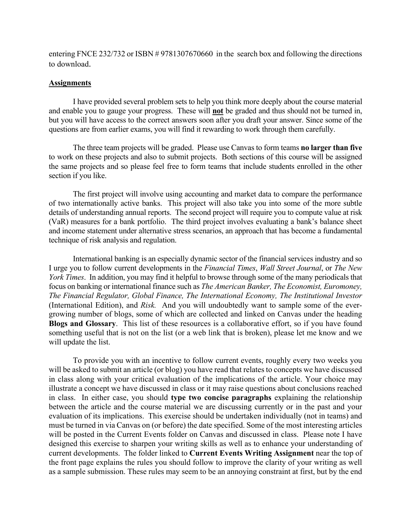entering FNCE 232/732 or ISBN # 9781307670660 in the search box and following the directions to download.

#### **Assignments**

I have provided several problem sets to help you think more deeply about the course material and enable you to gauge your progress. These will **not** be graded and thus should not be turned in, but you will have access to the correct answers soon after you draft your answer. Since some of the questions are from earlier exams, you will find it rewarding to work through them carefully.

The three team projects will be graded. Please use Canvas to form teams **no larger than five** to work on these projects and also to submit projects. Both sections of this course will be assigned the same projects and so please feel free to form teams that include students enrolled in the other section if you like.

The first project will involve using accounting and market data to compare the performance of two internationally active banks. This project will also take you into some of the more subtle details of understanding annual reports. The second project will require you to compute value at risk (VaR) measures for a bank portfolio. The third project involves evaluating a bank's balance sheet and income statement under alternative stress scenarios, an approach that has become a fundamental technique of risk analysis and regulation.

International banking is an especially dynamic sector of the financial services industry and so I urge you to follow current developments in the *Financial Times*, *Wall Street Journal*, or *The New York Times*. In addition, you may find it helpful to browse through some of the many periodicals that focus on banking or international finance such as *The American Banker, The Economist, Euromoney, The Financial Regulator, Global Finance, The International Economy, The Institutional Investor* (International Edition), and *Risk.* And you will undoubtedly want to sample some of the evergrowing number of blogs, some of which are collected and linked on Canvas under the heading **Blogs and Glossary**. This list of these resources is a collaborative effort, so if you have found something useful that is not on the list (or a web link that is broken), please let me know and we will update the list.

To provide you with an incentive to follow current events, roughly every two weeks you will be asked to submit an article (or blog) you have read that relates to concepts we have discussed in class along with your critical evaluation of the implications of the article. Your choice may illustrate a concept we have discussed in class or it may raise questions about conclusions reached in class. In either case, you should **type two concise paragraphs** explaining the relationship between the article and the course material we are discussing currently or in the past and your evaluation of its implications. This exercise should be undertaken individually (not in teams) and must be turned in via Canvas on (or before) the date specified. Some of the most interesting articles will be posted in the Current Events folder on Canvas and discussed in class. Please note I have designed this exercise to sharpen your writing skills as well as to enhance your understanding of current developments. The folder linked to **Current Events Writing Assignment** near the top of the front page explains the rules you should follow to improve the clarity of your writing as well as a sample submission. These rules may seem to be an annoying constraint at first, but by the end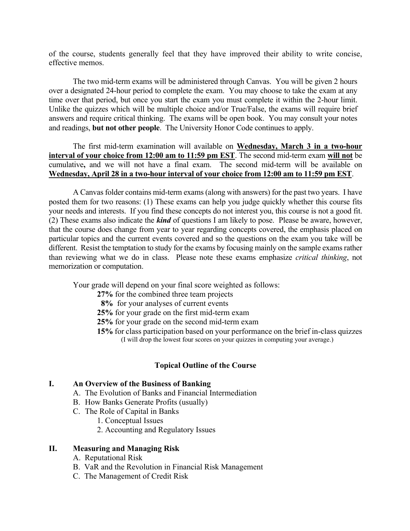of the course, students generally feel that they have improved their ability to write concise, effective memos.

The two mid-term exams will be administered through Canvas. You will be given 2 hours over a designated 24-hour period to complete the exam. You may choose to take the exam at any time over that period, but once you start the exam you must complete it within the 2-hour limit. Unlike the quizzes which will be multiple choice and/or True/False, the exams will require brief answers and require critical thinking. The exams will be open book. You may consult your notes and readings, **but not other people**. The University Honor Code continues to apply.

The first mid-term examination will available on **Wednesday, March 3 in a two-hour interval of your choice from 12:00 am to 11:59 pm EST**. The second mid-term exam **will not** be cumulative**,** and we will not have a final exam. The second mid-term will be available on **Wednesday, April 28 in a two-hour interval of your choice from 12:00 am to 11:59 pm EST**.

A Canvas folder contains mid-term exams (along with answers) for the past two years. I have posted them for two reasons: (1) These exams can help you judge quickly whether this course fits your needs and interests. If you find these concepts do not interest you, this course is not a good fit. (2) These exams also indicate the *kind* of questions I am likely to pose. Please be aware, however, that the course does change from year to year regarding concepts covered, the emphasis placed on particular topics and the current events covered and so the questions on the exam you take will be different. Resist the temptation to study for the exams by focusing mainly on the sample exams rather than reviewing what we do in class. Please note these exams emphasize *critical thinking*, not memorization or computation.

Your grade will depend on your final score weighted as follows:

**27%** for the combined three team projects

- **8%** for your analyses of current events
- **25%** for your grade on the first mid-term exam
- **25%** for your grade on the second mid-term exam
- **15%** for class participation based on your performance on the brief in-class quizzes (I will drop the lowest four scores on your quizzes in computing your average.)

## **Topical Outline of the Course**

## **I. An Overview of the Business of Banking**

- A. The Evolution of Banks and Financial Intermediation
- B. How Banks Generate Profits (usually)
- C. The Role of Capital in Banks
	- 1. Conceptual Issues
	- 2. Accounting and Regulatory Issues

#### **II. Measuring and Managing Risk**

- A. Reputational Risk
- B. VaR and the Revolution in Financial Risk Management
- C. The Management of Credit Risk